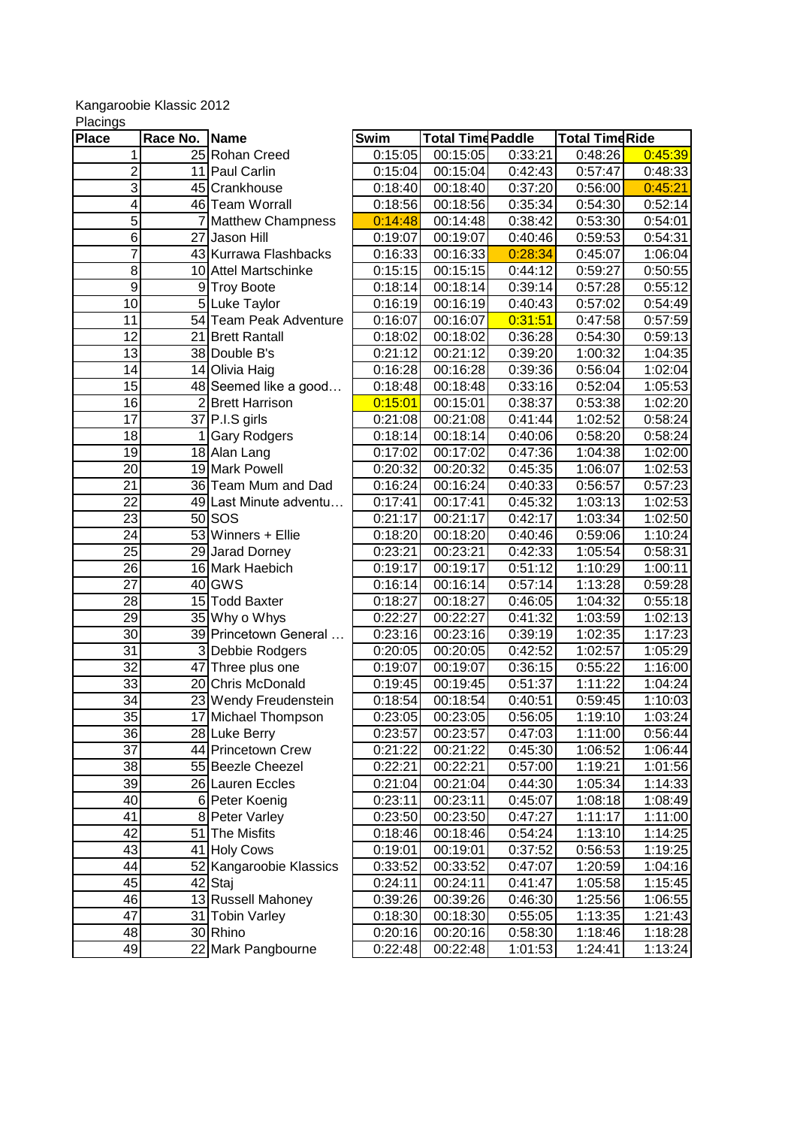## Kangaroobie Klassic 2012

| <b>Place</b>    | Race No.       | Name                        | Swim               | <b>Total Time Paddle</b> |         | <b>Total TimeRide</b> |         |
|-----------------|----------------|-----------------------------|--------------------|--------------------------|---------|-----------------------|---------|
| 1               |                | 25 Rohan Creed              | 0:15:05            | 00:15:05                 | 0:33:21 | 0:48:26               | 0:45:39 |
| $\overline{2}$  |                | 11 Paul Carlin              | 0:15:04            | 00:15:04                 | 0:42:43 | 0:57:47               | 0:48:33 |
| 3               |                | 45 Crankhouse               | 0:18:40            | 00:18:40                 | 0:37:20 | 0:56:00               | 0:45:21 |
| 4               |                | 46 Team Worrall             | 0:18:56            | 00:18:56                 | 0:35:34 | 0:54:30               | 0:52:14 |
| $\overline{5}$  |                | 7 Matthew Champness         | 0:14:48            | 00:14:48                 | 0:38:42 | 0:53:30               | 0:54:01 |
| $\overline{6}$  | 27             | Jason Hill                  | 0:19:07            | 00:19:07                 | 0:40:46 | 0:59:53               | 0:54:31 |
| 7               |                | 43 Kurrawa Flashbacks       | 0:16:33            | 00:16:33                 | 0:28:34 | 0:45:07               | 1:06:04 |
| 8               |                | 10 Attel Martschinke        | 0:15:15            | 00:15:15                 | 0:44:12 | 0:59:27               | 0:50:55 |
| 9               |                | 9 Troy Boote                | 0:18:14            | 00:18:14                 | 0:39:14 | 0:57:28               | 0:55:12 |
| $\overline{10}$ |                | 5 Luke Taylor               | 0:16:19            | 00:16:19                 | 0:40:43 | 0:57:02               | 0:54:49 |
| $\overline{11}$ |                | 54 Team Peak Adventure      | 0:16:07            | 00:16:07                 | 0:31:51 | 0:47:58               | 0:57:59 |
| $\overline{12}$ |                | 21 Brett Rantall            | 0:18:02            | 00:18:02                 | 0:36:28 | 0:54:30               | 0:59:13 |
| 13              |                | 38 Double B's               | 0:21:12            | 00:21:12                 | 0:39:20 | 1:00:32               | 1:04:35 |
| $\overline{14}$ | 14             | Olivia Haig                 | 0:16:28            | 00:16:28                 | 0:39:36 | 0:56:04               | 1:02:04 |
| 15              |                | 48 Seemed like a good       | 0:18:48            | 00:18:48                 | 0:33:16 | 0:52:04               | 1:05:53 |
| 16              | $\overline{2}$ | <b>Brett Harrison</b>       | 0:15:01            | 00:15:01                 | 0:38:37 | 0:53:38               | 1:02:20 |
| 17              |                | 37 P.I.S girls              | 0:21:08            | 00:21:08                 | 0:41:44 | 1:02:52               | 0:58:24 |
| 18              | 1              | <b>Gary Rodgers</b>         | 0:18:14            | 00:18:14                 | 0:40:06 | 0:58:20               | 0:58:24 |
| 19              |                | 18 Alan Lang                | 0:17:02            | 00:17:02                 | 0:47:36 | 1:04:38               | 1:02:00 |
| 20              |                | 19 Mark Powell              | 0:20:32            | 00:20:32                 | 0:45:35 | 1:06:07               | 1:02:53 |
| 21              |                | 36 Team Mum and Dad         | 0:16:24            | 00:16:24                 | 0:40:33 | 0:56:57               | 0:57:23 |
| 22              |                | 49 Last Minute adventu      | 0:17:41            | 00:17:41                 | 0:45:32 | 1:03:13               | 1:02:53 |
| 23              |                | $50$ SOS                    | 0:21:17            | 00:21:17                 | 0:42:17 | 1:03:34               | 1:02:50 |
| 24              |                | 53 Winners + Ellie          | 0:18:20            | 00:18:20                 | 0:40:46 | 0:59:06               | 1:10:24 |
| 25              |                | 29 Jarad Dorney             | 0:23:21            | 00:23:21                 | 0:42:33 | 1:05:54               | 0:58:31 |
| 26              |                | 16 Mark Haebich             | 0:19:17            | 00:19:17                 | 0:51:12 | 1:10:29               | 1:00:11 |
| 27              |                | 40 GWS                      | 0:16:14            | 00:16:14                 | 0:57:14 | 1:13:28               | 0:59:28 |
| 28              |                | 15 Todd Baxter              | 0:18:27            | 00:18:27                 | 0:46:05 | 1:04:32               | 0:55:18 |
| 29              |                | 35 Why o Whys               | 0:22:27            | 00:22:27                 | 0:41:32 | 1:03:59               | 1:02:13 |
| 30              |                | 39 Princetown General       | 0:23:16            | 00:23:16                 | 0:39:19 | 1:02:35               | 1:17:23 |
| 31              |                | 3 Debbie Rodgers            | 0:20:05            | 00:20:05                 | 0:42:52 | 1:02:57               | 1:05:29 |
| 32              |                | 47 Three plus one           | 0:19:07            | 00:19:07                 | 0:36:15 | 0:55:22               | 1:16:00 |
| 33              |                | 20 Chris McDonald           | 0:19:45            | 00:19:45                 | 0:51:37 | 1:11:22               | 1:04:24 |
| 34              |                | 23 Wendy Freudenstein       | 0:18:54            | 00:18:54                 | 0:40:51 | 0:59:45               | 1:10:03 |
| $\overline{35}$ |                | 17 Michael Thompson         | 0:23:05            | 00:23:05                 | 0:56:05 | 1:19:10               | 1:03:24 |
| 36              |                | 28 Luke Berry               | 0:23:57            | 00:23:57                 | 0:47:03 | 1:11:00               | 0:56:44 |
| 37              |                | 44 Princetown Crew          | 0:21:22            | 00:21:22                 | 0:45:30 | 1:06:52               | 1:06:44 |
| 38              |                | 55 Beezle Cheezel           | 0:22:21            | 00:22:21                 | 0:57:00 | 1:19:21               | 1:01:56 |
| 39              |                | 26 Lauren Eccles            | 0:21:04            | 00:21:04                 | 0:44:30 | 1:05:34               | 1:14:33 |
| 40              |                | 6 Peter Koenig              | 0:23:11            | 00:23:11                 | 0:45:07 | 1:08:18               | 1:08:49 |
| 41              |                | 8 Peter Varley              | 0:23:50            | 00:23:50                 | 0:47:27 | 1:11:17               | 1:11:00 |
| 42              |                | 51 The Misfits              | 0:18:46            | 00:18:46                 | 0:54:24 | 1:13:10               | 1:14:25 |
| 43              |                | 41 Holy Cows                | 0:19:01            | 00:19:01                 | 0:37:52 | 0:56:53               | 1:19:25 |
| 44<br>45        |                | 52 Kangaroobie Klassics     | 0:33:52<br>0:24:11 | 00:33:52<br>00:24:11     | 0:47:07 | 1:20:59               | 1:04:16 |
| 46              |                | 42 Staj                     |                    |                          | 0:41:47 | 1:05:58               | 1:15:45 |
| $\overline{47}$ |                | 13 Russell Mahoney          | 0:39:26            | 00:39:26                 | 0:46:30 | 1:25:56               | 1:06:55 |
|                 |                | 31 Tobin Varley<br>30 Rhino | 0:18:30            | 00:18:30                 | 0:55:05 | 1:13:35               | 1:21:43 |
| 48              |                |                             | 0:20:16            | 00:20:16                 | 0:58:30 | 1:18:46               | 1:18:28 |
| 49              |                | 22 Mark Pangbourne          | 0:22:48            | 00:22:48                 | 1:01:53 | 1:24:41               | 1:13:24 |

Placings